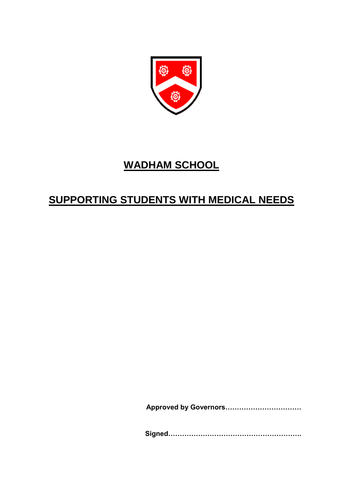

# **WADHAM SCHOOL**

# **SUPPORTING STUDENTS WITH MEDICAL NEEDS**

**Approved by Governors……………………………**

**Signed………………………………………………….**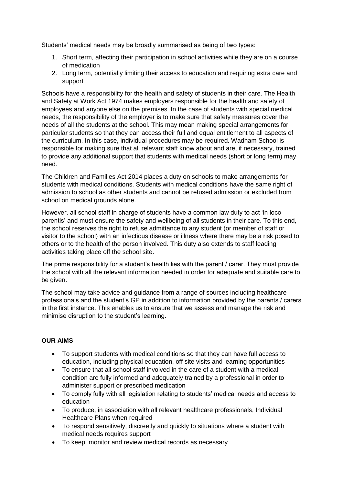Students' medical needs may be broadly summarised as being of two types:

- 1. Short term, affecting their participation in school activities while they are on a course of medication
- 2. Long term, potentially limiting their access to education and requiring extra care and support

Schools have a responsibility for the health and safety of students in their care. The Health and Safety at Work Act 1974 makes employers responsible for the health and safety of employees and anyone else on the premises. In the case of students with special medical needs, the responsibility of the employer is to make sure that safety measures cover the needs of all the students at the school. This may mean making special arrangements for particular students so that they can access their full and equal entitlement to all aspects of the curriculum. In this case, individual procedures may be required. Wadham School is responsible for making sure that all relevant staff know about and are, if necessary, trained to provide any additional support that students with medical needs (short or long term) may need.

The Children and Families Act 2014 places a duty on schools to make arrangements for students with medical conditions. Students with medical conditions have the same right of admission to school as other students and cannot be refused admission or excluded from school on medical grounds alone.

However, all school staff in charge of students have a common law duty to act 'in loco parentis' and must ensure the safety and wellbeing of all students in their care. To this end, the school reserves the right to refuse admittance to any student (or member of staff or visitor to the school) with an infectious disease or illness where there may be a risk posed to others or to the health of the person involved. This duty also extends to staff leading activities taking place off the school site.

The prime responsibility for a student's health lies with the parent / carer. They must provide the school with all the relevant information needed in order for adequate and suitable care to be given.

The school may take advice and guidance from a range of sources including healthcare professionals and the student's GP in addition to information provided by the parents / carers in the first instance. This enables us to ensure that we assess and manage the risk and minimise disruption to the student's learning.

#### **OUR AIMS**

- To support students with medical conditions so that they can have full access to education, including physical education, off site visits and learning opportunities
- To ensure that all school staff involved in the care of a student with a medical condition are fully informed and adequately trained by a professional in order to administer support or prescribed medication
- To comply fully with all legislation relating to students' medical needs and access to education
- To produce, in association with all relevant healthcare professionals, Individual Healthcare Plans when required
- To respond sensitively, discreetly and quickly to situations where a student with medical needs requires support
- To keep, monitor and review medical records as necessary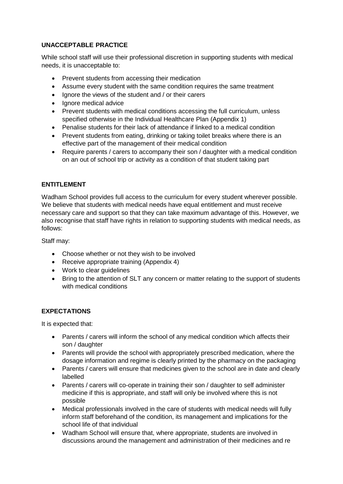#### **UNACCEPTABLE PRACTICE**

While school staff will use their professional discretion in supporting students with medical needs, it is unacceptable to:

- Prevent students from accessing their medication
- Assume every student with the same condition requires the same treatment
- Ignore the views of the student and / or their carers
- Ignore medical advice
- Prevent students with medical conditions accessing the full curriculum, unless specified otherwise in the Individual Healthcare Plan (Appendix 1)
- Penalise students for their lack of attendance if linked to a medical condition
- Prevent students from eating, drinking or taking toilet breaks where there is an effective part of the management of their medical condition
- Require parents / carers to accompany their son / daughter with a medical condition on an out of school trip or activity as a condition of that student taking part

#### **ENTITLEMENT**

Wadham School provides full access to the curriculum for every student wherever possible. We believe that students with medical needs have equal entitlement and must receive necessary care and support so that they can take maximum advantage of this. However, we also recognise that staff have rights in relation to supporting students with medical needs, as follows:

Staff may:

- Choose whether or not they wish to be involved
- Receive appropriate training (Appendix 4)
- Work to clear quidelines
- Bring to the attention of SLT any concern or matter relating to the support of students with medical conditions

#### **EXPECTATIONS**

It is expected that:

- Parents / carers will inform the school of any medical condition which affects their son / daughter
- Parents will provide the school with appropriately prescribed medication, where the dosage information and regime is clearly printed by the pharmacy on the packaging
- Parents / carers will ensure that medicines given to the school are in date and clearly labelled
- Parents / carers will co-operate in training their son / daughter to self administer medicine if this is appropriate, and staff will only be involved where this is not possible
- Medical professionals involved in the care of students with medical needs will fully inform staff beforehand of the condition, its management and implications for the school life of that individual
- Wadham School will ensure that, where appropriate, students are involved in discussions around the management and administration of their medicines and re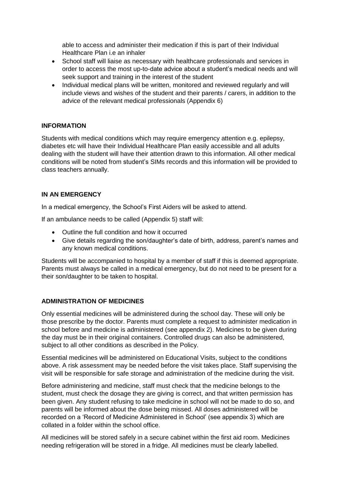able to access and administer their medication if this is part of their Individual Healthcare Plan i.e an inhaler

- School staff will liaise as necessary with healthcare professionals and services in order to access the most up-to-date advice about a student's medical needs and will seek support and training in the interest of the student
- Individual medical plans will be written, monitored and reviewed regularly and will include views and wishes of the student and their parents / carers, in addition to the advice of the relevant medical professionals (Appendix 6)

#### **INFORMATION**

Students with medical conditions which may require emergency attention e.g. epilepsy, diabetes etc will have their Individual Healthcare Plan easily accessible and all adults dealing with the student will have their attention drawn to this information. All other medical conditions will be noted from student's SIMs records and this information will be provided to class teachers annually.

#### **IN AN EMERGENCY**

In a medical emergency, the School's First Aiders will be asked to attend.

If an ambulance needs to be called (Appendix 5) staff will:

- Outline the full condition and how it occurred
- Give details regarding the son/daughter's date of birth, address, parent's names and any known medical conditions.

Students will be accompanied to hospital by a member of staff if this is deemed appropriate. Parents must always be called in a medical emergency, but do not need to be present for a their son/daughter to be taken to hospital.

#### **ADMINISTRATION OF MEDICINES**

Only essential medicines will be administered during the school day. These will only be those prescribe by the doctor. Parents must complete a request to administer medication in school before and medicine is administered (see appendix 2). Medicines to be given during the day must be in their original containers. Controlled drugs can also be administered, subject to all other conditions as described in the Policy.

Essential medicines will be administered on Educational Visits, subject to the conditions above. A risk assessment may be needed before the visit takes place. Staff supervising the visit will be responsible for safe storage and administration of the medicine during the visit.

Before administering and medicine, staff must check that the medicine belongs to the student, must check the dosage they are giving is correct, and that written permission has been given. Any student refusing to take medicine in school will not be made to do so, and parents will be informed about the dose being missed. All doses administered will be recorded on a 'Record of Medicine Administered in School' (see appendix 3) which are collated in a folder within the school office.

All medicines will be stored safely in a secure cabinet within the first aid room. Medicines needing refrigeration will be stored in a fridge. All medicines must be clearly labelled.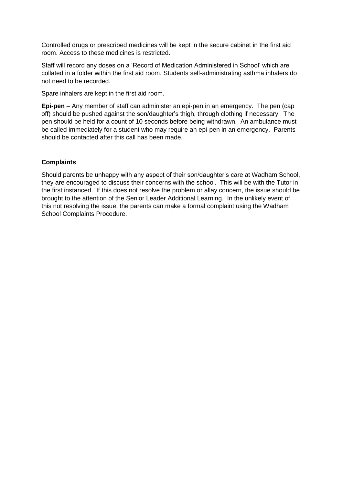Controlled drugs or prescribed medicines will be kept in the secure cabinet in the first aid room. Access to these medicines is restricted.

Staff will record any doses on a 'Record of Medication Administered in School' which are collated in a folder within the first aid room. Students self-administrating asthma inhalers do not need to be recorded.

Spare inhalers are kept in the first aid room.

**Epi-pen** – Any member of staff can administer an epi-pen in an emergency. The pen (cap off) should be pushed against the son/daughter's thigh, through clothing if necessary. The pen should be held for a count of 10 seconds before being withdrawn. An ambulance must be called immediately for a student who may require an epi-pen in an emergency. Parents should be contacted after this call has been made.

#### **Complaints**

Should parents be unhappy with any aspect of their son/daughter's care at Wadham School, they are encouraged to discuss their concerns with the school. This will be with the Tutor in the first instanced. If this does not resolve the problem or allay concern, the issue should be brought to the attention of the Senior Leader Additional Learning. In the unlikely event of this not resolving the issue, the parents can make a formal complaint using the Wadham School Complaints Procedure.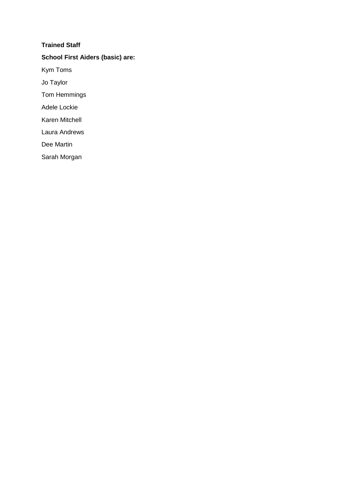#### **Trained Staff**

### **School First Aiders (basic) are:**

Kym Toms

Jo Taylor

Tom Hemmings

Adele Lockie

Karen Mitchell

Laura Andrews

Dee Martin

Sarah Morgan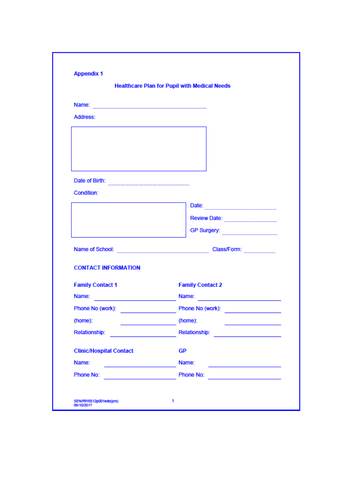|                                                                                                                                                                                               | <b>Healthcare Plan for Pupil with Medical Needs</b>                                                             |  |
|-----------------------------------------------------------------------------------------------------------------------------------------------------------------------------------------------|-----------------------------------------------------------------------------------------------------------------|--|
|                                                                                                                                                                                               |                                                                                                                 |  |
| Address:                                                                                                                                                                                      |                                                                                                                 |  |
|                                                                                                                                                                                               |                                                                                                                 |  |
|                                                                                                                                                                                               |                                                                                                                 |  |
|                                                                                                                                                                                               |                                                                                                                 |  |
|                                                                                                                                                                                               |                                                                                                                 |  |
| Date of Birth:                                                                                                                                                                                |                                                                                                                 |  |
| Condition:                                                                                                                                                                                    |                                                                                                                 |  |
|                                                                                                                                                                                               | Date:                                                                                                           |  |
|                                                                                                                                                                                               | Review Date:                                                                                                    |  |
|                                                                                                                                                                                               | GP Surgery: <b>CONSUMPTER SURFERENT CONSUMPTER</b>                                                              |  |
|                                                                                                                                                                                               | Name of School: www.waterman.com/state/state/state/state/state/state/state/state/state/state/state/state/state/ |  |
| <b>CONTACT INFORMATION</b>                                                                                                                                                                    |                                                                                                                 |  |
| <b>Family Contact 1</b>                                                                                                                                                                       | <b>Family Contact 2</b>                                                                                         |  |
| Name:                                                                                                                                                                                         | Name:<br>the control of the control of the control of                                                           |  |
| Phone No (work):                                                                                                                                                                              | Phone No (work):                                                                                                |  |
| (home):                                                                                                                                                                                       | (home):                                                                                                         |  |
| Relationship:<br>$\mathcal{L}^{\mathcal{L}}(\mathcal{L}^{\mathcal{L}})$ and $\mathcal{L}^{\mathcal{L}}(\mathcal{L}^{\mathcal{L}})$ and $\mathcal{L}^{\mathcal{L}}(\mathcal{L}^{\mathcal{L}})$ | <b>Relationship:</b>                                                                                            |  |
| <b>Clinic/Hospital Contact</b>                                                                                                                                                                | <b>GP</b>                                                                                                       |  |
| Name:                                                                                                                                                                                         | Name:<br><u> 1980 - Johann Barbara, martxa a</u>                                                                |  |
| Phone No:<br><u> 1980 - Johann Barnett, fransk konge</u>                                                                                                                                      | Phone No:<br><u> 1980 - Jan James Barbara, politik eta politikaria (h. 1908).</u>                               |  |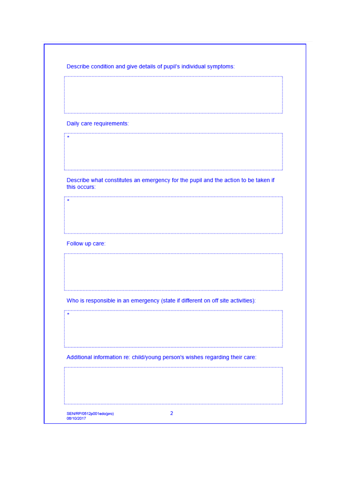| Describe condition and give details of pupil's individual symptoms: |
|---------------------------------------------------------------------|
|---------------------------------------------------------------------|

Daily care requirements:

 $\overline{\bullet}$ 

 $\overline{\phantom{a}}$ 

 $\hat{\mathbf{x}}$ 

Describe what constitutes an emergency for the pupil and the action to be taken if this occurs:

Follow up care:

Who is responsible in an emergency (state if different on off site activities):

Additional information re: child/young person's wishes regarding their care:

SEN/RP/0512p001edo(pro)<br>06/10/2017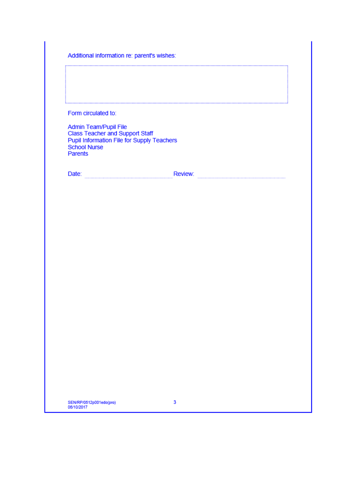Additional information re: parent's wishes:

| Form circulated to:                                                                                                                      |         |  |
|------------------------------------------------------------------------------------------------------------------------------------------|---------|--|
| Admin Team/Pupil File<br>Class Teacher and Support Staff<br>Pupil Information File for Supply Teachers<br><b>School Nurse</b><br>Parents |         |  |
| Date:                                                                                                                                    | Review: |  |
|                                                                                                                                          |         |  |
|                                                                                                                                          |         |  |
|                                                                                                                                          |         |  |
|                                                                                                                                          |         |  |
|                                                                                                                                          |         |  |
|                                                                                                                                          |         |  |
|                                                                                                                                          |         |  |
|                                                                                                                                          |         |  |
|                                                                                                                                          |         |  |
|                                                                                                                                          |         |  |
|                                                                                                                                          |         |  |
|                                                                                                                                          |         |  |
|                                                                                                                                          |         |  |
|                                                                                                                                          |         |  |
|                                                                                                                                          |         |  |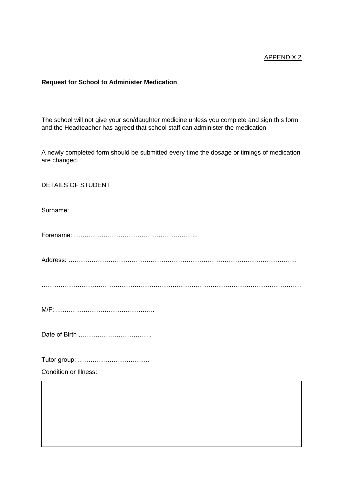#### APPENDIX 2

#### **Request for School to Administer Medication**

The school will not give your son/daughter medicine unless you complete and sign this form and the Headteacher has agreed that school staff can administer the medication.

A newly completed form should be submitted every time the dosage or timings of medication are changed.

DETAILS OF STUDENT

Condition or Illness: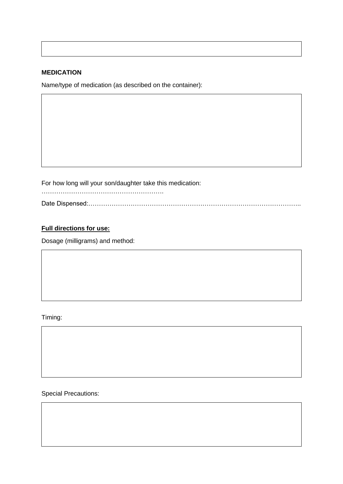#### **MEDICATION**

Name/type of medication (as described on the container):

For how long will your son/daughter take this medication:

………………………………………………….

Date Dispensed:………………………………………………………………………………………..

#### **Full directions for use:**

Dosage (milligrams) and method:

Timing:

Special Precautions: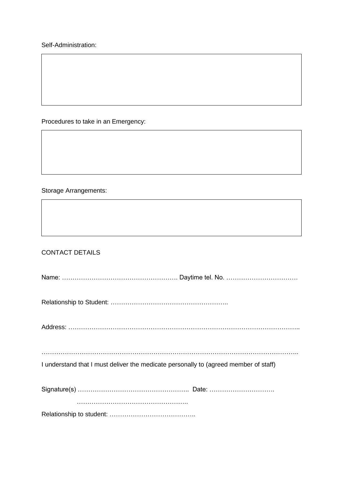Self-Administration:

Procedures to take in an Emergency:

Storage Arrangements:

CONTACT DETAILS

| Nam | ` …………………………………………………… Davtime tel. No. …………………………… |
|-----|-----------------------------------------------------|
|     |                                                     |

Relationship to Student: ………………………………………………..

Address: ………………………………………………………………………………………………..

…………………………………………………………………………………………………………..

I understand that I must deliver the medicate personally to (agreed member of staff)

Relationship to student: …………………………………..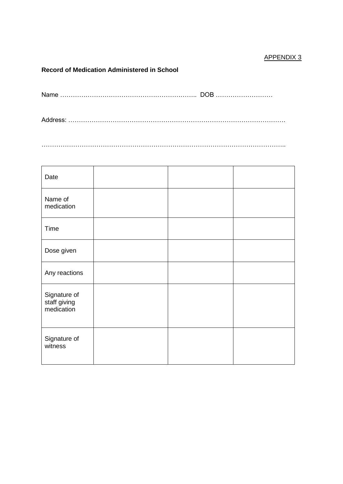#### APPENDIX 3

#### **Record of Medication Administered in School**

Address: ………………………………………………………………………………………….

……………………………………………………………………………………………………..

| Date                                       |  |  |
|--------------------------------------------|--|--|
| Name of<br>medication                      |  |  |
| Time                                       |  |  |
| Dose given                                 |  |  |
| Any reactions                              |  |  |
| Signature of<br>staff giving<br>medication |  |  |
| Signature of<br>witness                    |  |  |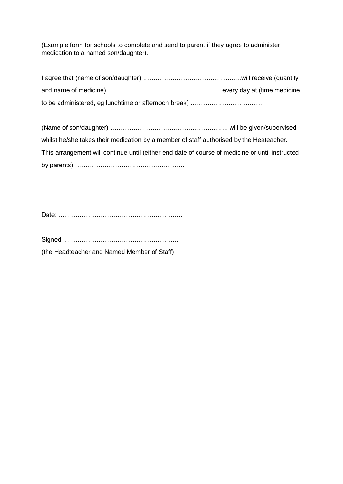(Example form for schools to complete and send to parent if they agree to administer medication to a named son/daughter).

| to be administered, eg lunchtime or afternoon break) |  |
|------------------------------------------------------|--|

(Name of son/daughter) ……………………………………………….. will be given/supervised whilst he/she takes their medication by a member of staff authorised by the Heateacher. This arrangement will continue until (either end date of course of medicine or until instructed by parents) …………………………………………….

Date: …………………………………………………..

Signed: ………………………………………………

(the Headteacher and Named Member of Staff)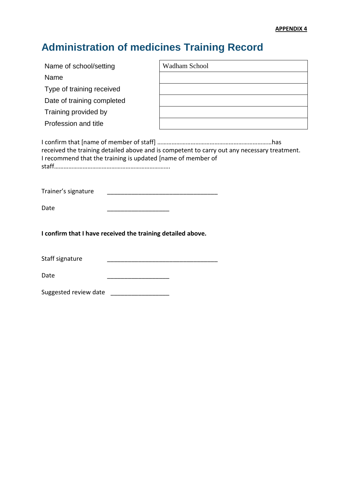# **Administration of medicines Training Record**

| Name of school/setting                                      | Wadham School                                                                               |  |
|-------------------------------------------------------------|---------------------------------------------------------------------------------------------|--|
| Name                                                        |                                                                                             |  |
| Type of training received                                   |                                                                                             |  |
| Date of training completed                                  |                                                                                             |  |
| Training provided by                                        |                                                                                             |  |
| Profession and title                                        |                                                                                             |  |
| I recommend that the training is updated [name of member of | received the training detailed above and is competent to carry out any necessary treatment. |  |
| Trainer's signature                                         |                                                                                             |  |
| Date                                                        |                                                                                             |  |
| I confirm that I have received the training detailed above. |                                                                                             |  |
| Staff signature                                             |                                                                                             |  |
| Date                                                        |                                                                                             |  |
| Suggested review date                                       |                                                                                             |  |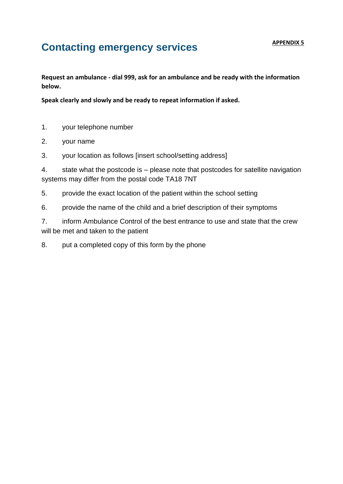# **APPENDIX 5 Contacting emergency services**

**Request an ambulance - dial 999, ask for an ambulance and be ready with the information below.**

**Speak clearly and slowly and be ready to repeat information if asked.**

- 1. your telephone number
- 2. your name
- 3. your location as follows [insert school/setting address]

4. state what the postcode is – please note that postcodes for satellite navigation systems may differ from the postal code TA18 7NT

- 5. provide the exact location of the patient within the school setting
- 6. provide the name of the child and a brief description of their symptoms

7. inform Ambulance Control of the best entrance to use and state that the crew will be met and taken to the patient

8. put a completed copy of this form by the phone